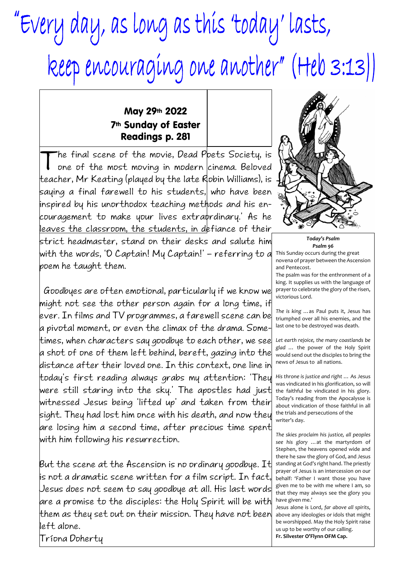## "Every day, as long as this 'today' lasts, keep encouraging one another" (Heb 3:13))

## May 29th 2022 7th Sunday of Easter Readings p. 281

T he final scene of the movie, Dead Poets Society, is one of the most moving in modern cinema. Beloved teacher, Mr Keating (played by the late Robin Williams), is saying a final farewell to his students, who have been inspired by his unorthodox teaching methods and his encouragement to make your lives extraordinary.' As he leaves the classroom, the students, in defiance of their strict headmaster, stand on their desks and salute him with the words, 'O Captain! My Captain!' – referring to a poem he taught them.

 Goodbyes are often emotional, particularly if we know we might not see the other person again for a long time, if ever. In films and TV programmes, a farewell scene can be a pivotal moment, or even the climax of the drama. Sometimes, when characters say goodbye to each other, we see a shot of one of them left behind, bereft, gazing into the distance after their loved one. In this context, one line in today's first reading always grabs my attention: 'They were still staring into the sky.' The apostles had just witnessed Jesus being 'lifted up' and taken from their sight. They had lost him once with his death, and now they are losing him a second time, after precious time spent with him following his resurrection.

But the scene at the Ascension is no ordinary goodbye. It is not a dramatic scene written for a film script. In fact, Jesus does not seem to say goodbye at all. His last words are a promise to the disciples: the Holy Spirit will be with them as they set out on their mission. They have not been left alone.

Tríona Doherty



*Today's Psalm Psalm 96*

This Sunday occurs during the great novena of prayer between the Ascension and Pentecost.

The psalm was for the enthronment of a king. It supplies us with the language of prayer to celebrate the glory of the risen, victorious Lord.

*The is king* …as Paul puts it, Jesus has triumphed over all his enemies, and the last one to be destroyed was death.

*Let earth rejoice, the many coastlands be glad* … the power of the Holy Spirit would send out the disciples to bring the news of Jesus to all nations.

*His throne is justice and right* … As Jesus was vindicated in his glorification, so will the faithful be vindicated in his glory. Today's reading from the Apocalysse is about vindication of those faithful in all the trials and persecutions of the writer's day.

*The skies proclaim his justice, all peoples see his glory* …at the martyrdom of Stephen, the heavens opened wide and there he saw the glory of God, and Jesus standing at God's right hand. The priestly prayer of Jesus is an intercession on our behalf: 'Father I want those you have given me to be with me where I am, so that they may always see the glory you have given me.'

Jesus alone is Lord, *far above all spirits*, above any ideologies or idols that might be worshipped. May the Holy Spirit raise us up to be worthy of our calling. **Fr. Silvester O'Flynn OFM Cap.**